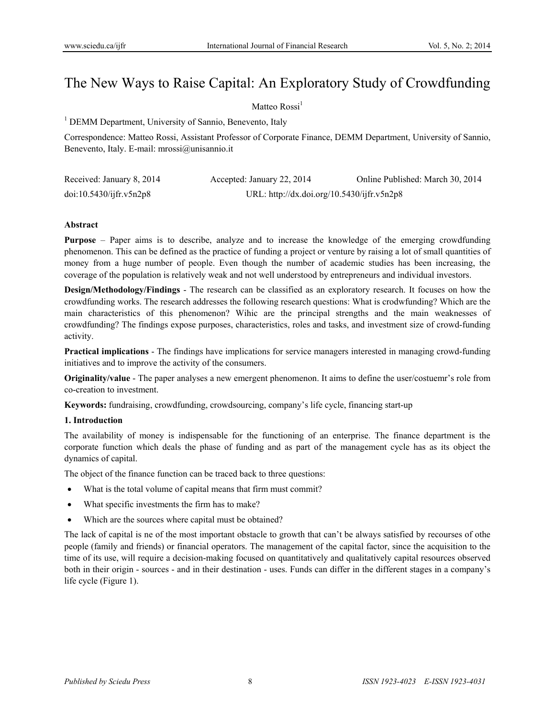# The New Ways to Raise Capital: An Exploratory Study of Crowdfunding

## Matteo Rossi<sup>1</sup>

<sup>1</sup> DEMM Department, University of Sannio, Benevento, Italy

Correspondence: Matteo Rossi, Assistant Professor of Corporate Finance, DEMM Department, University of Sannio, Benevento, Italy. E-mail: mrossi@unisannio.it

| Received: January 8, 2014  | Accepted: January 22, 2014                 | Online Published: March 30, 2014 |
|----------------------------|--------------------------------------------|----------------------------------|
| $doi:10.5430/ij$ fr.v5n2p8 | URL: http://dx.doi.org/10.5430/ijfr.v5n2p8 |                                  |

## **Abstract**

**Purpose** – Paper aims is to describe, analyze and to increase the knowledge of the emerging crowdfunding phenomenon. This can be defined as the practice of funding a project or venture by raising a lot of small quantities of money from a huge number of people. Even though the number of academic studies has been increasing, the coverage of the population is relatively weak and not well understood by entrepreneurs and individual investors.

**Design/Methodology/Findings** - The research can be classified as an exploratory research. It focuses on how the crowdfunding works. The research addresses the following research questions: What is crodwfunding? Which are the main characteristics of this phenomenon? Wihic are the principal strengths and the main weaknesses of crowdfunding? The findings expose purposes, characteristics, roles and tasks, and investment size of crowd-funding activity.

**Practical implications** - The findings have implications for service managers interested in managing crowd-funding initiatives and to improve the activity of the consumers.

**Originality/value** - The paper analyses a new emergent phenomenon. It aims to define the user/costuemr's role from co-creation to investment.

**Keywords:** fundraising, crowdfunding, crowdsourcing, company's life cycle, financing start-up

## **1. Introduction**

The availability of money is indispensable for the functioning of an enterprise. The finance department is the corporate function which deals the phase of funding and as part of the management cycle has as its object the dynamics of capital.

The object of the finance function can be traced back to three questions:

- What is the total volume of capital means that firm must commit?
- What specific investments the firm has to make?
- Which are the sources where capital must be obtained?

The lack of capital is ne of the most important obstacle to growth that can't be always satisfied by recourses of othe people (family and friends) or financial operators. The management of the capital factor, since the acquisition to the time of its use, will require a decision-making focused on quantitatively and qualitatively capital resources observed both in their origin - sources - and in their destination - uses. Funds can differ in the different stages in a company's life cycle (Figure 1).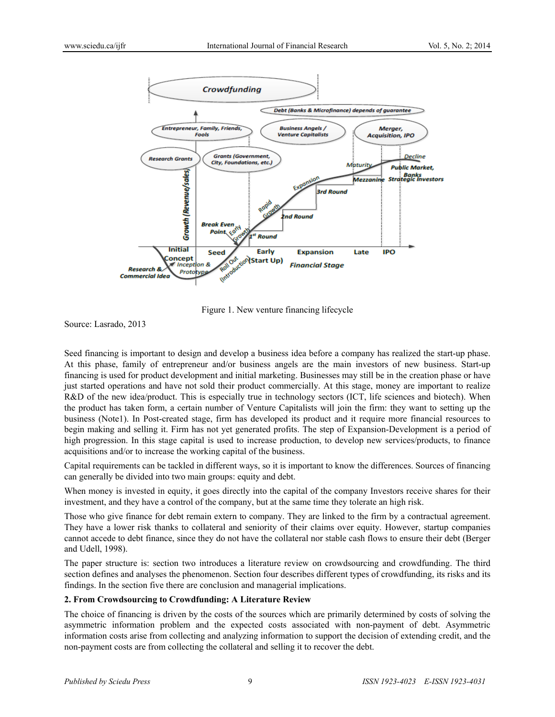

Figure 1. New venture financing lifecycle

Source: Lasrado, 2013

Seed financing is important to design and develop a business idea before a company has realized the start-up phase. At this phase, family of entrepreneur and/or business angels are the main investors of new business. Start-up financing is used for product development and initial marketing. Businesses may still be in the creation phase or have just started operations and have not sold their product commercially. At this stage, money are important to realize R&D of the new idea/product. This is especially true in technology sectors (ICT, life sciences and biotech). When the product has taken form, a certain number of Venture Capitalists will join the firm: they want to setting up the business (Note1). In Post-created stage, firm has developed its product and it require more financial resources to begin making and selling it. Firm has not yet generated profits. The step of Expansion-Development is a period of high progression. In this stage capital is used to increase production, to develop new services/products, to finance acquisitions and/or to increase the working capital of the business.

Capital requirements can be tackled in different ways, so it is important to know the differences. Sources of financing can generally be divided into two main groups: equity and debt.

When money is invested in equity, it goes directly into the capital of the company Investors receive shares for their investment, and they have a control of the company, but at the same time they tolerate an high risk.

Those who give finance for debt remain extern to company. They are linked to the firm by a contractual agreement. They have a lower risk thanks to collateral and seniority of their claims over equity. However, startup companies cannot accede to debt finance, since they do not have the collateral nor stable cash flows to ensure their debt (Berger and Udell, 1998).

The paper structure is: section two introduces a literature review on crowdsourcing and crowdfunding. The third section defines and analyses the phenomenon. Section four describes different types of crowdfunding, its risks and its findings. In the section five there are conclusion and managerial implications.

## **2. From Crowdsourcing to Crowdfunding: A Literature Review**

The choice of financing is driven by the costs of the sources which are primarily determined by costs of solving the asymmetric information problem and the expected costs associated with non-payment of debt. Asymmetric information costs arise from collecting and analyzing information to support the decision of extending credit, and the non-payment costs are from collecting the collateral and selling it to recover the debt.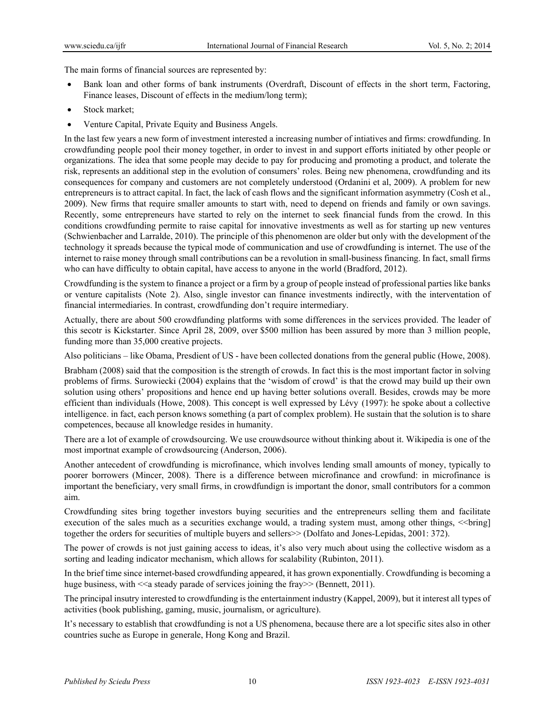The main forms of financial sources are represented by:

- Bank loan and other forms of bank instruments (Overdraft, Discount of effects in the short term, Factoring, Finance leases, Discount of effects in the medium/long term);
- Stock market;
- Venture Capital, Private Equity and Business Angels.

In the last few years a new form of investment interested a increasing number of intiatives and firms: crowdfunding. In crowdfunding people pool their money together, in order to invest in and support efforts initiated by other people or organizations. The idea that some people may decide to pay for producing and promoting a product, and tolerate the risk, represents an additional step in the evolution of consumers' roles. Being new phenomena, crowdfunding and its consequences for company and customers are not completely understood (Ordanini et al, 2009). A problem for new entrepreneurs is to attract capital. In fact, the lack of cash flows and the significant information asymmetry (Cosh et al., 2009). New firms that require smaller amounts to start with, need to depend on friends and family or own savings. Recently, some entrepreneurs have started to rely on the internet to seek financial funds from the crowd. In this conditions crowdfunding permite to raise capital for innovative investments as well as for starting up new ventures (Schwienbacher and Larralde, 2010). The principle of this phenomenon are older but only with the development of the technology it spreads because the typical mode of communication and use of crowdfunding is internet. The use of the internet to raise money through small contributions can be a revolution in small-business financing. In fact, small firms who can have difficulty to obtain capital, have access to anyone in the world (Bradford, 2012).

Crowdfunding is the system to finance a project or a firm by a group of people instead of professional parties like banks or venture capitalists (Note 2). Also, single investor can finance investments indirectly, with the interventation of financial intermediaries. In contrast, crowdfunding don't require intermediary.

Actually, there are about 500 crowdfunding platforms with some differences in the services provided. The leader of this secotr is Kickstarter. Since April 28, 2009, over \$500 million has been assured by more than 3 million people, funding more than 35,000 creative projects.

Also politicians – like Obama, Presdient of US - have been collected donations from the general public (Howe, 2008).

Brabham (2008) said that the composition is the strength of crowds. In fact this is the most important factor in solving problems of firms. Surowiecki (2004) explains that the 'wisdom of crowd' is that the crowd may build up their own solution using others' propositions and hence end up having better solutions overall. Besides, crowds may be more efficient than individuals (Howe, 2008). This concept is well expressed by Lévy (1997): he spoke about a collective intelligence. in fact, each person knows something (a part of complex problem). He sustain that the solution is to share competences, because all knowledge resides in humanity.

There are a lot of example of crowdsourcing. We use crouwdsource without thinking about it. Wikipedia is one of the most importnat example of crowdsourcing (Anderson, 2006).

Another antecedent of crowdfunding is microfinance, which involves lending small amounts of money, typically to poorer borrowers (Mincer, 2008). There is a difference between microfinance and crowfund: in microfinance is important the beneficiary, very small firms, in crowdfundign is important the donor, small contributors for a common aim.

Crowdfunding sites bring together investors buying securities and the entrepreneurs selling them and facilitate execution of the sales much as a securities exchange would, a trading system must, among other things, << bring] together the orders for securities of multiple buyers and sellers>> (Dolfato and Jones-Lepidas, 2001: 372).

The power of crowds is not just gaining access to ideas, it's also very much about using the collective wisdom as a sorting and leading indicator mechanism, which allows for scalability (Rubinton, 2011).

In the brief time since internet-based crowdfunding appeared, it has grown exponentially. Crowdfunding is becoming a huge business, with  $\ll$  a steady parade of services joining the fray  $\gg$  (Bennett, 2011).

The principal insutry interested to crowdfunding is the entertainment industry (Kappel, 2009), but it interest all types of activities (book publishing, gaming, music, journalism, or agriculture).

It's necessary to establish that crowdfunding is not a US phenomena, because there are a lot specific sites also in other countries suche as Europe in generale, Hong Kong and Brazil.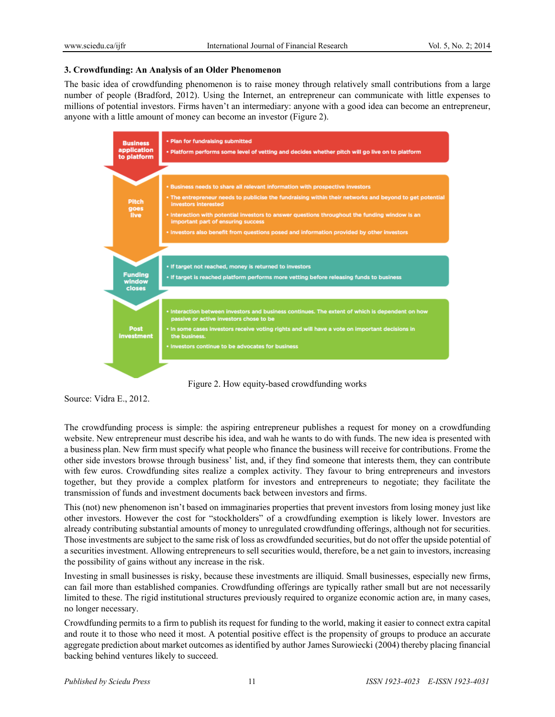## **3. Crowdfunding: An Analysis of an Older Phenomenon**

The basic idea of crowdfunding phenomenon is to raise money through relatively small contributions from a large number of people (Bradford, 2012). Using the Internet, an entrepreneur can communicate with little expenses to millions of potential investors. Firms haven't an intermediary: anyone with a good idea can become an entrepreneur, anyone with a little amount of money can become an investor (Figure 2).



Figure 2. How equity-based crowdfunding works

Source: Vidra E., 2012.

The crowdfunding process is simple: the aspiring entrepreneur publishes a request for money on a crowdfunding website. New entrepreneur must describe his idea, and wah he wants to do with funds. The new idea is presented with a business plan. New firm must specify what people who finance the business will receive for contributions. Frome the other side investors browse through business' list, and, if they find someone that interests them, they can contribute with few euros. Crowdfunding sites realize a complex activity. They favour to bring entrepreneurs and investors together, but they provide a complex platform for investors and entrepreneurs to negotiate; they facilitate the transmission of funds and investment documents back between investors and firms.

This (not) new phenomenon isn't based on immaginaries properties that prevent investors from losing money just like other investors. However the cost for "stockholders" of a crowdfunding exemption is likely lower. Investors are already contributing substantial amounts of money to unregulated crowdfunding offerings, although not for securities. Those investments are subject to the same risk of loss as crowdfunded securities, but do not offer the upside potential of a securities investment. Allowing entrepreneurs to sell securities would, therefore, be a net gain to investors, increasing the possibility of gains without any increase in the risk.

Investing in small businesses is risky, because these investments are illiquid. Small businesses, especially new firms, can fail more than established companies. Crowdfunding offerings are typically rather small but are not necessarily limited to these. The rigid institutional structures previously required to organize economic action are, in many cases, no longer necessary.

Crowdfunding permits to a firm to publish its request for funding to the world, making it easier to connect extra capital and route it to those who need it most. A potential positive effect is the propensity of groups to produce an accurate aggregate prediction about market outcomes as identified by author James Surowiecki (2004) thereby placing financial backing behind ventures likely to succeed.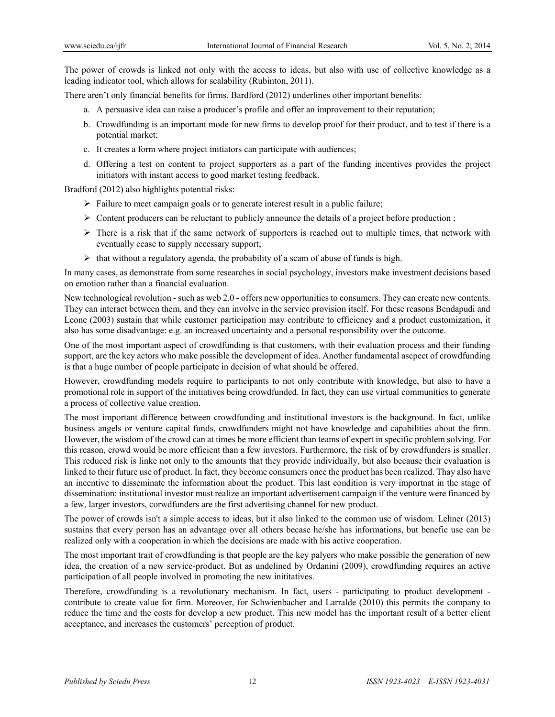The power of crowds is linked not only with the access to ideas, but also with use of collective knowledge as a leading indicator tool, which allows for scalability (Rubinton, 2011).

There aren't only financial benefits for firms. Bardford (2012) underlines other important benefits:

- a. A persuasive idea can raise a producer's profile and offer an improvement to their reputation;
- b. Crowdfunding is an important mode for new firms to develop proof for their product, and to test if there is a potential market;
- c. It creates a form where project initiators can participate with audiences;
- d. Offering a test on content to project supporters as a part of the funding incentives provides the project initiators with instant access to good market testing feedback.

Bradford (2012) also highlights potential risks:

- $\triangleright$  Failure to meet campaign goals or to generate interest result in a public failure;
- $\triangleright$  Content producers can be reluctant to publicly announce the details of a project before production ;
- $\triangleright$  There is a risk that if the same network of supporters is reached out to multiple times, that network with eventually cease to supply necessary support;
- $\triangleright$  that without a regulatory agenda, the probability of a scam of abuse of funds is high.

In many cases, as demonstrate from some researches in social psychology, investors make investment decisions based on emotion rather than a financial evaluation.

New technological revolution - such as web 2.0 - offers new opportunities to consumers. They can create new contents. They can interact between them, and they can involve in the service provision itself. For these reasons Bendapudi and Leone (2003) sustain that while customer participation may contribute to efficiency and a product customization, it also has some disadvantage: e.g. an increased uncertainty and a personal responsibility over the outcome.

One of the most important aspect of crowdfunding is that customers, with their evaluation process and their funding support, are the key actors who make possible the development of idea. Another fundamental ascpect of crowdfunding is that a huge number of people participate in decision of what should be offered.

However, crowdfunding models require to participants to not only contribute with knowledge, but also to have a promotional role in support of the initiatives being crowdfunded. In fact, they can use virtual communities to generate a process of collective value creation.

The most important difference between crowdfunding and institutional investors is the background. In fact, unlike business angels or venture capital funds, crowdfunders might not have knowledge and capabilities about the firm. However, the wisdom of the crowd can at times be more efficient than teams of expert in specific problem solving. For this reason, crowd would be more efficient than a few investors. Furthermore, the risk of by crowdfunders is smaller. This reduced risk is linke not only to the amounts that they provide individually, but also because their evaluation is linked to their future use of product. In fact, they become consumers once the product has been realized. Thay also have an incentive to disseminate the information about the product. This last condition is very importnat in the stage of dissemination: institutional investor must realize an important advertisement campaign if the venture were financed by a few, larger investors, corwdfunders are the first advertising channel for new product.

The power of crowds isn't a simple access to ideas, but it also linked to the common use of wisdom. Lehner (2013) sustains that every person has an advantage over all others becase he/she has informations, but benefic use can be realized only with a cooperation in which the decisions are made with his active cooperation.

The most important trait of crowdfunding is that people are the key palyers who make possible the generation of new idea, the creation of a new service-product. But as undelined by Ordanini (2009), crowdfunding requires an active participation of all people involved in promoting the new inititatives.

Therefore, crowdfunding is a revolutionary mechanism. In fact, users - participating to product development contribute to create value for firm. Moreover, for Schwienbacher and Larralde (2010) this permits the company to reduce the time and the costs for develop a new product. This new model has the important result of a better client acceptance, and increases the customers' perception of product.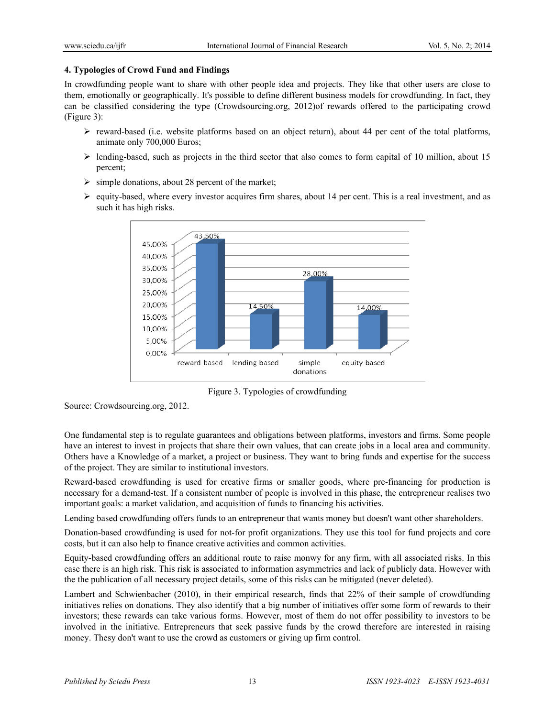## **4. Typologies of Crowd Fund and Findings**

In crowdfunding people want to share with other people idea and projects. They like that other users are close to them, emotionally or geographically. It's possible to define different business models for crowdfunding. In fact, they can be classified considering the type (Crowdsourcing.org, 2012)of rewards offered to the participating crowd (Figure 3):

- $\triangleright$  reward-based (i.e. website platforms based on an object return), about 44 per cent of the total platforms, animate only 700,000 Euros;
- $\geq$  lending-based, such as projects in the third sector that also comes to form capital of 10 million, about 15 percent;
- $\triangleright$  simple donations, about 28 percent of the market;
- $\triangleright$  equity-based, where every investor acquires firm shares, about 14 per cent. This is a real investment, and as such it has high risks.



Figure 3. Typologies of crowdfunding

Source: Crowdsourcing.org, 2012.

One fundamental step is to regulate guarantees and obligations between platforms, investors and firms. Some people have an interest to invest in projects that share their own values, that can create jobs in a local area and community. Others have a Knowledge of a market, a project or business. They want to bring funds and expertise for the success of the project. They are similar to institutional investors.

Reward-based crowdfunding is used for creative firms or smaller goods, where pre-financing for production is necessary for a demand-test. If a consistent number of people is involved in this phase, the entrepreneur realises two important goals: a market validation, and acquisition of funds to financing his activities.

Lending based crowdfunding offers funds to an entrepreneur that wants money but doesn't want other shareholders.

Donation-based crowdfunding is used for not-for profit organizations. They use this tool for fund projects and core costs, but it can also help to finance creative activities and common activities.

Equity-based crowdfunding offers an additional route to raise monwy for any firm, with all associated risks. In this case there is an high risk. This risk is associated to information asymmetries and lack of publicly data. However with the the publication of all necessary project details, some of this risks can be mitigated (never deleted).

Lambert and Schwienbacher (2010), in their empirical research, finds that 22% of their sample of crowdfunding initiatives relies on donations. They also identify that a big number of initiatives offer some form of rewards to their investors; these rewards can take various forms. However, most of them do not offer possibility to investors to be involved in the initiative. Entrepreneurs that seek passive funds by the crowd therefore are interested in raising money. Thesy don't want to use the crowd as customers or giving up firm control.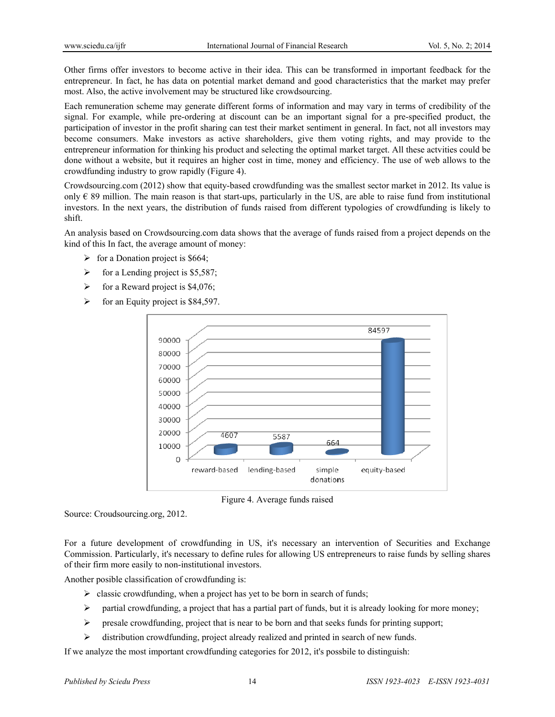Other firms offer investors to become active in their idea. This can be transformed in important feedback for the entrepreneur. In fact, he has data on potential market demand and good characteristics that the market may prefer most. Also, the active involvement may be structured like crowdsourcing.

Each remuneration scheme may generate different forms of information and may vary in terms of credibility of the signal. For example, while pre-ordering at discount can be an important signal for a pre-specified product, the participation of investor in the profit sharing can test their market sentiment in general. In fact, not all investors may become consumers. Make investors as active shareholders, give them voting rights, and may provide to the entrepreneur information for thinking his product and selecting the optimal market target. All these actvities could be done without a website, but it requires an higher cost in time, money and efficiency. The use of web allows to the crowdfunding industry to grow rapidly (Figure 4).

Crowdsourcing.com (2012) show that equity-based crowdfunding was the smallest sector market in 2012. Its value is only  $\epsilon$  89 million. The main reason is that start-ups, particularly in the US, are able to raise fund from institutional investors. In the next years, the distribution of funds raised from different typologies of crowdfunding is likely to shift.

An analysis based on Crowdsourcing.com data shows that the average of funds raised from a project depends on the kind of this In fact, the average amount of money:

- $\triangleright$  for a Donation project is \$664;
- $\triangleright$  for a Lending project is \$5,587;
- $\triangleright$  for a Reward project is \$4,076;
- $\triangleright$  for an Equity project is \$84,597.



Figure 4. Average funds raised

Source: Croudsourcing.org, 2012.

For a future development of crowdfunding in US, it's necessary an intervention of Securities and Exchange Commission. Particularly, it's necessary to define rules for allowing US entrepreneurs to raise funds by selling shares of their firm more easily to non-institutional investors.

Another posible classification of crowdfunding is:

- $\triangleright$  classic crowdfunding, when a project has yet to be born in search of funds;
- $\triangleright$  partial crowdfunding, a project that has a partial part of funds, but it is already looking for more money;
- $\triangleright$  presale crowdfunding, project that is near to be born and that seeks funds for printing support;
- $\triangleright$  distribution crowdfunding, project already realized and printed in search of new funds.

If we analyze the most important crowdfunding categories for 2012, it's possbile to distinguish: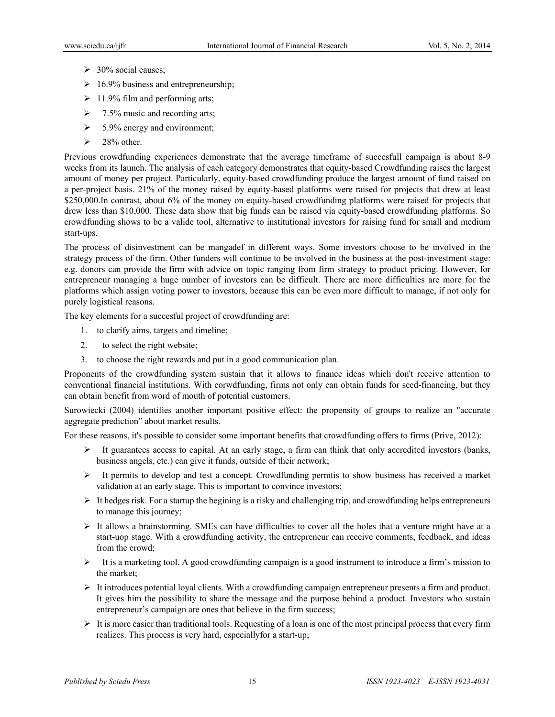- $\geq 30\%$  social causes:
- $\geq 16.9\%$  business and entrepreneurship;
- $\geq 11.9\%$  film and performing arts;
- $\geq$  7.5% music and recording arts;
- $\geq 5.9\%$  energy and environment;
- $\geq 28\%$  other.

Previous crowdfunding experiences demonstrate that the average timeframe of succesfull campaign is about 8-9 weeks from its launch. The analysis of each category demonstrates that equity-based Crowdfunding raises the largest amount of money per project. Particularly, equity-based crowdfunding produce the largest amount of fund raised on a per-project basis. 21% of the money raised by equity-based platforms were raised for projects that drew at least \$250,000.In contrast, about 6% of the money on equity-based crowdfunding platforms were raised for projects that drew less than \$10,000. These data show that big funds can be raised via equity-based crowdfunding platforms. So crowdfunding shows to be a valide tool, alternative to institutional investors for raising fund for small and medium start-ups.

The process of disinvestment can be mangadef in different ways. Some investors choose to be involved in the strategy process of the firm. Other funders will continue to be involved in the business at the post-investment stage: e.g. donors can provide the firm with advice on topic ranging from firm strategy to product pricing. However, for entrepreneur managing a huge number of investors can be difficult. There are more difficulties are more for the platforms which assign voting power to investors, because this can be even more difficult to manage, if not only for purely logistical reasons.

The key elements for a succesful project of crowdfunding are:

- 1. to clarify aims, targets and timeline;
- 2. to select the right website;
- 3. to choose the right rewards and put in a good communication plan.

Proponents of the crowdfunding system sustain that it allows to finance ideas which don't receive attention to conventional financial institutions. With corwdfunding, firms not only can obtain funds for seed-financing, but they can obtain benefit from word of mouth of potential customers.

Surowiecki (2004) identifies another important positive effect: the propensity of groups to realize an "accurate aggregate prediction" about market results.

For these reasons, it's possible to consider some important benefits that crowdfunding offers to firms (Prive, 2012):

- $\triangleright$  It guarantees access to capital. At an early stage, a firm can think that only accredited investors (banks, business angels, etc.) can give it funds, outside of their network;
- $\triangleright$  It permits to develop and test a concept. Crowdfunding permits to show business has received a market validation at an early stage. This is important to convince investors;
- $\triangleright$  It hedges risk. For a startup the begining is a risky and challenging trip, and crowdfunding helps entrepreneurs to manage this journey;
- $\triangleright$  It allows a brainstorming. SMEs can have difficulties to cover all the holes that a venture might have at a start-uop stage. With a crowdfunding activity, the entrepreneur can receive comments, feedback, and ideas from the crowd;
- $\triangleright$  It is a marketing tool. A good crowdfunding campaign is a good instrument to introduce a firm's mission to the market;
- $\triangleright$  It introduces potential loyal clients. With a crowdfunding campaign entrepreneur presents a firm and product. It gives him the possibility to share the message and the purpose behind a product. Investors who sustain entrepreneur's campaign are ones that believe in the firm success;
- $\triangleright$  It is more easier than traditional tools. Requesting of a loan is one of the most principal process that every firm realizes. This process is very hard, especiallyfor a start-up;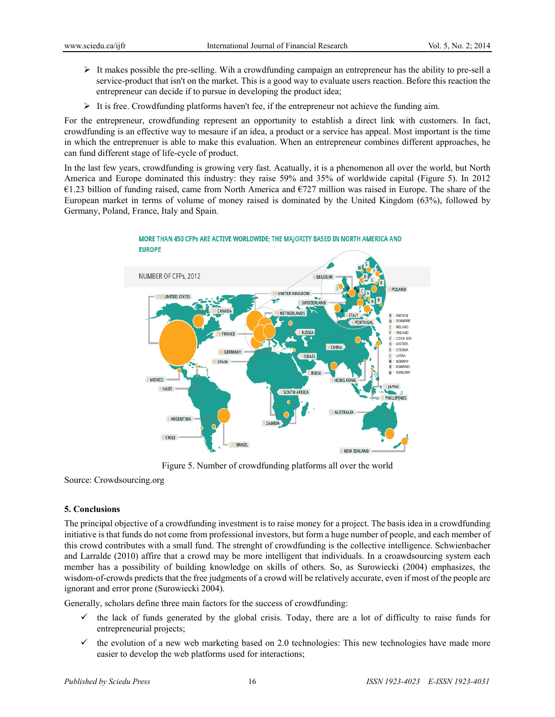- $\triangleright$  It makes possible the pre-selling. Wih a crowdfunding campaign an entrepreneur has the ability to pre-sell a service-product that isn't on the market. This is a good way to evaluate users reaction. Before this reaction the entrepreneur can decide if to pursue in developing the product idea;
- $\triangleright$  It is free. Crowdfunding platforms haven't fee, if the entrepreneur not achieve the funding aim.

For the entrepreneur, crowdfunding represent an opportunity to establish a direct link with customers. In fact, crowdfunding is an effective way to mesaure if an idea, a product or a service has appeal. Most important is the time in which the entreprenuer is able to make this evaluation. When an entrepreneur combines different approaches, he can fund different stage of life-cycle of product.

In the last few years, crowdfunding is growing very fast. Acatually, it is a phenomenon all over the world, but North America and Europe dominated this industry: they raise 59% and 35% of worldwide capital (Figure 5). In 2012 €1.23 billion of funding raised, came from North America and  $€727$  million was raised in Europe. The share of the European market in terms of volume of money raised is dominated by the United Kingdom (63%), followed by Germany, Poland, France, Italy and Spain.



Figure 5. Number of crowdfunding platforms all over the world

Source: Crowdsourcing.org

## **5. Conclusions**

The principal objective of a crowdfunding investment is to raise money for a project. The basis idea in a crowdfunding initiative is that funds do not come from professional investors, but form a huge number of people, and each member of this crowd contributes with a small fund. The strenght of crowdfunding is the collective intelligence. Schwienbacher and Larralde (2010) affire that a crowd may be more intelligent that individuals. In a croawdsourcing system each member has a possibility of building knowledge on skills of others. So, as Surowiecki (2004) emphasizes, the wisdom-of-crowds predicts that the free judgments of a crowd will be relatively accurate, even if most of the people are ignorant and error prone (Surowiecki 2004).

Generally, scholars define three main factors for the success of crowdfunding:

- $\checkmark$  the lack of funds generated by the global crisis. Today, there are a lot of difficulty to raise funds for entrepreneurial projects;
- $\checkmark$  the evolution of a new web marketing based on 2.0 technologies: This new technologies have made more easier to develop the web platforms used for interactions;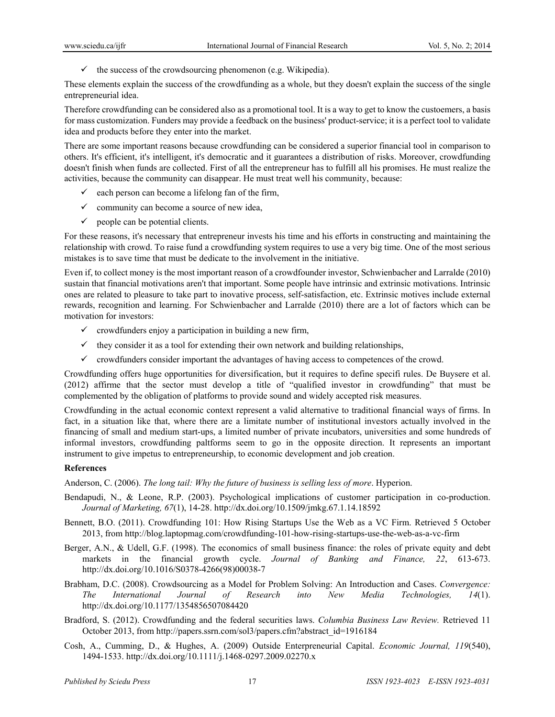the success of the crowdsourcing phenomenon (e.g. Wikipedia).

These elements explain the success of the crowdfunding as a whole, but they doesn't explain the success of the single entrepreneurial idea.

Therefore crowdfunding can be considered also as a promotional tool. It is a way to get to know the custoemers, a basis for mass customization. Funders may provide a feedback on the business' product-service; it is a perfect tool to validate idea and products before they enter into the market.

There are some important reasons because crowdfunding can be considered a superior financial tool in comparison to others. It's efficient, it's intelligent, it's democratic and it guarantees a distribution of risks. Moreover, crowdfunding doesn't finish when funds are collected. First of all the entrepreneur has to fulfill all his promises. He must realize the activities, because the community can disappear. He must treat well his community, because:

- $\checkmark$  each person can become a lifelong fan of the firm,
- $\checkmark$  community can become a source of new idea,
- $\checkmark$  people can be potential clients.

For these reasons, it's necessary that entrepreneur invests his time and his efforts in constructing and maintaining the relationship with crowd. To raise fund a crowdfunding system requires to use a very big time. One of the most serious mistakes is to save time that must be dedicate to the involvement in the initiative.

Even if, to collect money is the most important reason of a crowdfounder investor, Schwienbacher and Larralde (2010) sustain that financial motivations aren't that important. Some people have intrinsic and extrinsic motivations. Intrinsic ones are related to pleasure to take part to inovative process, self-satisfaction, etc. Extrinsic motives include external rewards, recognition and learning. For Schwienbacher and Larralde (2010) there are a lot of factors which can be motivation for investors:

- $\checkmark$  crowdfunders enjoy a participation in building a new firm,
- $\checkmark$  they consider it as a tool for extending their own network and building relationships,
- $\checkmark$  crowdfunders consider important the advantages of having access to competences of the crowd.

Crowdfunding offers huge opportunities for diversification, but it requires to define specifi rules. De Buysere et al. (2012) affirme that the sector must develop a title of "qualified investor in crowdfunding" that must be complemented by the obligation of platforms to provide sound and widely accepted risk measures.

Crowdfunding in the actual economic context represent a valid alternative to traditional financial ways of firms. In fact, in a situation like that, where there are a limitate number of institutional investors actually involved in the financing of small and medium start-ups, a limited number of private incubators, universities and some hundreds of informal investors, crowdfunding paltforms seem to go in the opposite direction. It represents an important instrument to give impetus to entrepreneurship, to economic development and job creation.

#### **References**

Anderson, C. (2006). *The long tail: Why the future of business is selling less of more*. Hyperion.

- Bendapudi, N., & Leone, R.P. (2003). Psychological implications of customer participation in co-production. *Journal of Marketing, 67*(1), 14-28. http://dx.doi.org/10.1509/jmkg.67.1.14.18592
- Bennett, B.O. (2011). Crowdfunding 101: How Rising Startups Use the Web as a VC Firm. Retrieved 5 October 2013, from http://blog.laptopmag.com/crowdfunding-101-how-rising-startups-use-the-web-as-a-vc-firm
- Berger, A.N., & Udell, G.F. (1998). The economics of small business finance: the roles of private equity and debt markets in the financial growth cycle. *Journal of Banking and Finance, 22*, 613-673. http://dx.doi.org/10.1016/S0378-4266(98)00038-7
- Brabham, D.C. (2008). Crowdsourcing as a Model for Problem Solving: An Introduction and Cases. *Convergence: The International Journal of Research into New Media Technologies, 14*(1). http://dx.doi.org/10.1177/1354856507084420
- Bradford, S. (2012). Crowdfunding and the federal securities laws. *Columbia Business Law Review.* Retrieved 11 October 2013, from http://papers.ssrn.com/sol3/papers.cfm?abstract\_id=1916184
- Cosh, A., Cumming, D., & Hughes, A. (2009) Outside Enterpreneurial Capital. *Economic Journal, 119*(540), 1494-1533. http://dx.doi.org/10.1111/j.1468-0297.2009.02270.x